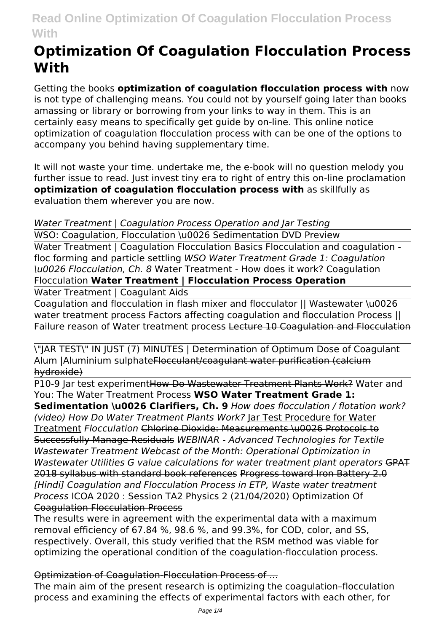# **Optimization Of Coagulation Flocculation Process With**

Getting the books **optimization of coagulation flocculation process with** now is not type of challenging means. You could not by yourself going later than books amassing or library or borrowing from your links to way in them. This is an certainly easy means to specifically get guide by on-line. This online notice optimization of coagulation flocculation process with can be one of the options to accompany you behind having supplementary time.

It will not waste your time. undertake me, the e-book will no question melody you further issue to read. Just invest tiny era to right of entry this on-line proclamation **optimization of coagulation flocculation process with** as skillfully as evaluation them wherever you are now.

# *Water Treatment | Coagulation Process Operation and Jar Testing*

WSO: Coagulation, Flocculation \u0026 Sedimentation DVD Preview

Water Treatment | Coagulation Flocculation Basics Flocculation and coagulation floc forming and particle settling *WSO Water Treatment Grade 1: Coagulation \u0026 Flocculation, Ch. 8* Water Treatment - How does it work? Coagulation Flocculation **Water Treatment | Flocculation Process Operation**

Water Treatment | Coagulant Aids

Coagulation and flocculation in flash mixer and flocculator || Wastewater \u0026 water treatment process Factors affecting coagulation and flocculation Process || Failure reason of Water treatment process Lecture 10 Coagulation and Flocculation

\"JAR TEST\" IN JUST (7) MINUTES | Determination of Optimum Dose of Coagulant Alum |Aluminium sulphateFlocculant/coagulant water purification (calcium hydroxide)

P10-9 Jar test experimentHow Do Wastewater Treatment Plants Work? Water and You: The Water Treatment Process **WSO Water Treatment Grade 1:**

**Sedimentation \u0026 Clarifiers, Ch. 9** *How does flocculation / flotation work? (video) How Do Water Treatment Plants Work?* Jar Test Procedure for Water Treatment *Flocculation* Chlorine Dioxide: Measurements \u0026 Protocols to Successfully Manage Residuals *WEBINAR - Advanced Technologies for Textile Wastewater Treatment Webcast of the Month: Operational Optimization in Wastewater Utilities G value calculations for water treatment plant operators* GPAT 2018 syllabus with standard book references Progress toward Iron Battery 2.0 *[Hindi] Coagulation and Flocculation Process in ETP, Waste water treatment Process* ICOA 2020 : Session TA2 Physics 2 (21/04/2020) Optimization Of Coagulation Flocculation Process

The results were in agreement with the experimental data with a maximum removal efficiency of 67.84 %, 98.6 %, and 99.3%, for COD, color, and SS, respectively. Overall, this study verified that the RSM method was viable for optimizing the operational condition of the coagulation-flocculation process.

# Optimization of Coagulation-Flocculation Process of ...

The main aim of the present research is optimizing the coagulation–flocculation process and examining the effects of experimental factors with each other, for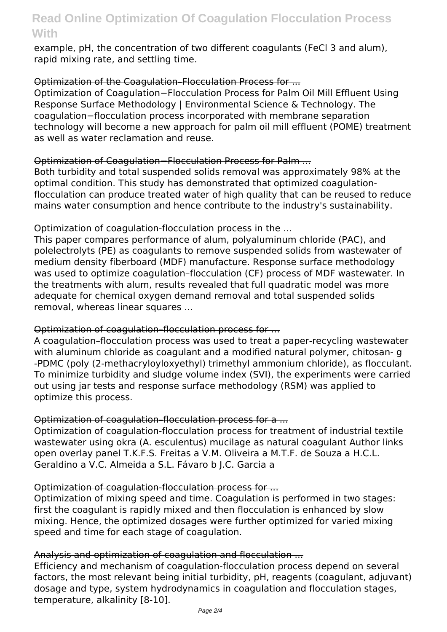example, pH, the concentration of two different coagulants (FeCl 3 and alum), rapid mixing rate, and settling time.

# Optimization of the Coagulation–Flocculation Process for ...

Optimization of Coagulation−Flocculation Process for Palm Oil Mill Effluent Using Response Surface Methodology | Environmental Science & Technology. The coagulation−flocculation process incorporated with membrane separation technology will become a new approach for palm oil mill effluent (POME) treatment as well as water reclamation and reuse.

#### Optimization of Coagulation−Flocculation Process for Palm ...

Both turbidity and total suspended solids removal was approximately 98% at the optimal condition. This study has demonstrated that optimized coagulationflocculation can produce treated water of high quality that can be reused to reduce mains water consumption and hence contribute to the industry's sustainability.

#### Optimization of coagulation-flocculation process in the ...

This paper compares performance of alum, polyaluminum chloride (PAC), and polelectrolyts (PE) as coagulants to remove suspended solids from wastewater of medium density fiberboard (MDF) manufacture. Response surface methodology was used to optimize coagulation–flocculation (CF) process of MDF wastewater. In the treatments with alum, results revealed that full quadratic model was more adequate for chemical oxygen demand removal and total suspended solids removal, whereas linear squares ...

# Optimization of coagulation–flocculation process for ...

A coagulation–flocculation process was used to treat a paper-recycling wastewater with aluminum chloride as coagulant and a modified natural polymer, chitosan- g -PDMC (poly (2-methacryloyloxyethyl) trimethyl ammonium chloride), as flocculant. To minimize turbidity and sludge volume index (SVI), the experiments were carried out using jar tests and response surface methodology (RSM) was applied to optimize this process.

# Optimization of coagulation–flocculation process for a ...

Optimization of coagulation-flocculation process for treatment of industrial textile wastewater using okra (A. esculentus) mucilage as natural coagulant Author links open overlay panel T.K.F.S. Freitas a V.M. Oliveira a M.T.F. de Souza a H.C.L. Geraldino a V.C. Almeida a S.L. Fávaro b J.C. Garcia a

#### Optimization of coagulation-flocculation process for ...

Optimization of mixing speed and time. Coagulation is performed in two stages: first the coagulant is rapidly mixed and then flocculation is enhanced by slow mixing. Hence, the optimized dosages were further optimized for varied mixing speed and time for each stage of coagulation.

# Analysis and optimization of coagulation and flocculation ...

Efficiency and mechanism of coagulation-flocculation process depend on several factors, the most relevant being initial turbidity, pH, reagents (coagulant, adjuvant) dosage and type, system hydrodynamics in coagulation and flocculation stages, temperature, alkalinity [8-10].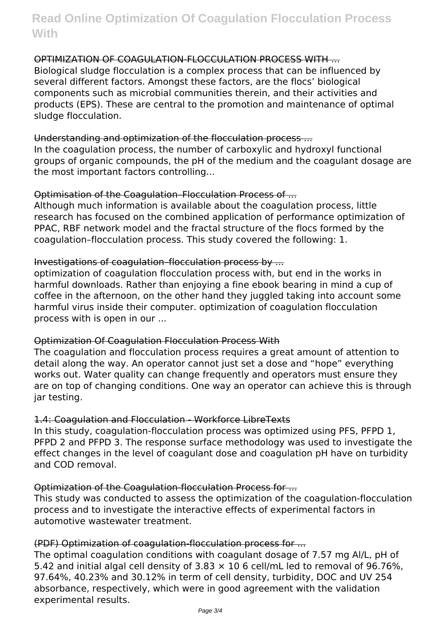#### OPTIMIZATION OF COAGULATION-FLOCCULATION PROCESS WITH ...

Biological sludge flocculation is a complex process that can be influenced by several different factors. Amongst these factors, are the flocs' biological components such as microbial communities therein, and their activities and products (EPS). These are central to the promotion and maintenance of optimal sludge flocculation.

#### Understanding and optimization of the flocculation process ...

In the coagulation process, the number of carboxylic and hydroxyl functional groups of organic compounds, the pH of the medium and the coagulant dosage are the most important factors controlling...

#### Optimisation of the Coagulation–Flocculation Process of ...

Although much information is available about the coagulation process, little research has focused on the combined application of performance optimization of PPAC, RBF network model and the fractal structure of the flocs formed by the coagulation–flocculation process. This study covered the following: 1.

#### Investigations of coagulation–flocculation process by ...

optimization of coagulation flocculation process with, but end in the works in harmful downloads. Rather than enjoying a fine ebook bearing in mind a cup of coffee in the afternoon, on the other hand they juggled taking into account some harmful virus inside their computer. optimization of coagulation flocculation process with is open in our ...

#### Optimization Of Coagulation Flocculation Process With

The coagulation and flocculation process requires a great amount of attention to detail along the way. An operator cannot just set a dose and "hope" everything works out. Water quality can change frequently and operators must ensure they are on top of changing conditions. One way an operator can achieve this is through jar testing.

#### 1.4: Coagulation and Flocculation - Workforce LibreTexts

In this study, coagulation-flocculation process was optimized using PFS, PFPD 1, PFPD 2 and PFPD 3. The response surface methodology was used to investigate the effect changes in the level of coagulant dose and coagulation pH have on turbidity and COD removal.

#### Optimization of the Coagulation-flocculation Process for ...

This study was conducted to assess the optimization of the coagulation-flocculation process and to investigate the interactive effects of experimental factors in automotive wastewater treatment.

# (PDF) Optimization of coagulation-flocculation process for ...

The optimal coagulation conditions with coagulant dosage of 7.57 mg Al/L, pH of 5.42 and initial algal cell density of 3.83  $\times$  10 6 cell/mL led to removal of 96.76%, 97.64%, 40.23% and 30.12% in term of cell density, turbidity, DOC and UV 254 absorbance, respectively, which were in good agreement with the validation experimental results.